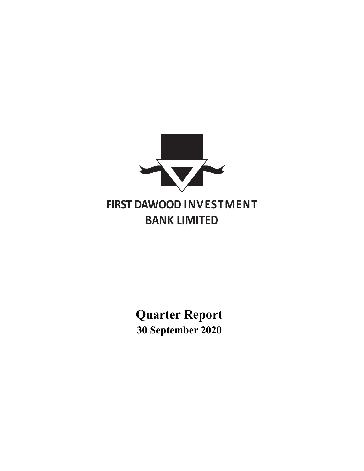

**Quarter Report 30 September 2020**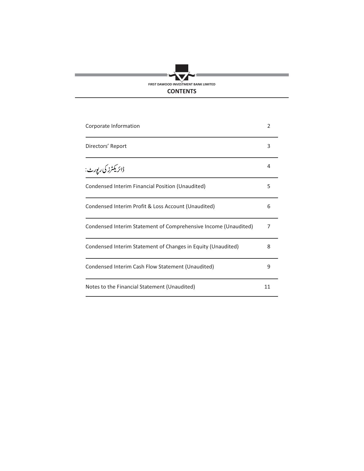# V FIRST DAWOOD INVESTMENT BANK LIMITED **CONTENTS**

e.

| Corporate Information                                                    | $\overline{2}$ |  |
|--------------------------------------------------------------------------|----------------|--|
| Directors' Report                                                        | 3              |  |
| <sub>ۋائر</sub> ىكى <sup>ئ</sup> رز كى رې <sub>ي</sub> ور <sub>ٹ</sub> : | 4              |  |
| Condensed Interim Financial Position (Unaudited)                         | 5              |  |
| Condensed Interim Profit & Loss Account (Unaudited)                      | 6              |  |
| Condensed Interim Statement of Comprehensive Income (Unaudited)          | 7              |  |
| Condensed Interim Statement of Changes in Equity (Unaudited)             | 8              |  |
| Condensed Interim Cash Flow Statement (Unaudited)                        | 9              |  |
| Notes to the Financial Statement (Unaudited)                             | 11             |  |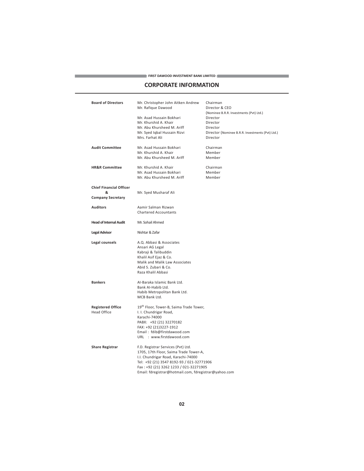#### **IRST DAWOOD INVESTMENT BANK LIMITED**

# **CORPORATE INFORMATION**

|                                | $\blacktriangleright$ FIRST DAWOOD INVESTMENT BANK LIMITED $\blacktriangleleft$<br><b>CORPORATE INFORMATION</b>                                                               |                                                     |
|--------------------------------|-------------------------------------------------------------------------------------------------------------------------------------------------------------------------------|-----------------------------------------------------|
| <b>Board of Directors</b>      | Mr. Christopher John Aitken Andrew<br>Mr. Rafique Dawood                                                                                                                      | Chairman<br>Director & CEO                          |
|                                | Mr. Asad Hussain Bokhari                                                                                                                                                      | (Nominee B.R.R. Investments (Pvt) Ltd.)<br>Director |
|                                | Mr. Khurshid A. Khair                                                                                                                                                         | Director                                            |
|                                | Mr. Abu Khursheed M. Ariff                                                                                                                                                    | Director                                            |
|                                | Mr. Syed Iqbal Hussain Rizvi                                                                                                                                                  | Director (Nominee B.R.R. Investments (Pvt) Ltd.)    |
|                                | Mrs. Farhat Ali                                                                                                                                                               | Director                                            |
| <b>Audit Committee</b>         | Mr. Asad Hussain Bokhari                                                                                                                                                      | Chairman                                            |
|                                | Mr. Khurshid A. Khair                                                                                                                                                         | Member                                              |
|                                | Mr. Abu Khursheed M. Ariff                                                                                                                                                    | Member                                              |
| <b>HR&amp;R Committee</b>      | Mr. Khurshid A. Khair                                                                                                                                                         | Chairman                                            |
|                                | Mr. Asad Hussain Bokhari                                                                                                                                                      | Member                                              |
|                                | Mr. Abu Khursheed M. Ariff                                                                                                                                                    | Member                                              |
| <b>Chief Financial Officer</b> |                                                                                                                                                                               |                                                     |
| &                              | Mr. Syed Musharaf Ali                                                                                                                                                         |                                                     |
| <b>Company Secretary</b>       |                                                                                                                                                                               |                                                     |
| <b>Auditors</b>                | Aamir Salman Rizwan                                                                                                                                                           |                                                     |
|                                | <b>Chartered Accountants</b>                                                                                                                                                  |                                                     |
| <b>Head of Internal Audit</b>  | Mr. Sohail Ahmed                                                                                                                                                              |                                                     |
| <b>Legal Advisor</b>           | Nishtar & Zafar                                                                                                                                                               |                                                     |
| Legal counsels                 | A.Q. Abbasi & Associates<br>Ansari AG Legal<br>Kabraji & Talibuddin<br>Khalil Asif Ejaz & Co.<br>Malik and Malik Law Associates<br>Abid S. Zubari & Co.<br>Raza Khalil Abbasi |                                                     |
| <b>Bankers</b>                 | Al-Baraka Islamic Bank Ltd.<br>Bank Al-Habib Ltd.                                                                                                                             |                                                     |
|                                | Habib Metropolitan Bank Ltd.<br>MCB Bank Ltd.                                                                                                                                 |                                                     |
| <b>Registered Office</b>       | 19 <sup>th</sup> Floor, Tower-B, Saima Trade Tower,                                                                                                                           |                                                     |
| <b>Head Office</b>             | I. I. Chundrigar Road,                                                                                                                                                        |                                                     |
|                                | Karachi-74000                                                                                                                                                                 |                                                     |
|                                | PABX: +92 (21) 32270182                                                                                                                                                       |                                                     |
|                                | FAX: +92 (21)3227-1912                                                                                                                                                        |                                                     |
|                                | Email: fdib@firstdawood.com<br>URL : www.firstdawood.com                                                                                                                      |                                                     |
|                                |                                                                                                                                                                               |                                                     |
| <b>Share Registrar</b>         | F.D. Registrar Services (Pvt) Ltd.                                                                                                                                            |                                                     |
|                                | 1705, 17th Floor, Saima Trade Tower-A,                                                                                                                                        |                                                     |
|                                | I.I. Chundrigar Road, Karachi-74000<br>Tel: +92 (21) 3547 8192-93 / 021-32771906                                                                                              |                                                     |
|                                | Fax: +92 (21) 3262 1233 / 021-32271905                                                                                                                                        |                                                     |
|                                | Email: fdregistrar@hotmail.com, fdregistrar@yahoo.com                                                                                                                         |                                                     |
|                                |                                                                                                                                                                               |                                                     |
|                                | 02                                                                                                                                                                            |                                                     |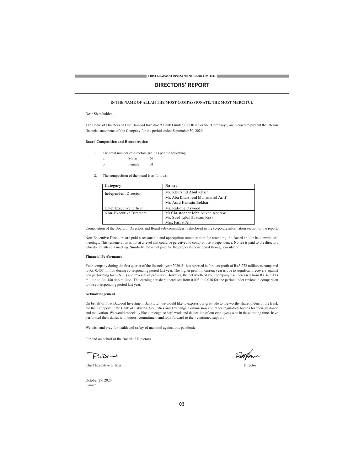# **DIRECTORS' REPORT**

## IN THE NAME OF ALLAH THE MOST COMPASSIONATE, THE MOST MERCIFUL

## Dear Shareholders

The Board of Directors of First Dawood Investment Bank Limited ("FDIBL" or the "Company") are pleased to present the interim financial statements of the Company for the period ended September 30, 2020.

## **Board Composition and Remuneration**

- 1. The total number of directors are 7 as per the following:
	- Male: - 06 a.
	- $h$ Female:  $01$
- 2. The composition of the board is as follows:

| Category                | <b>Names</b>                      |
|-------------------------|-----------------------------------|
| Independent Director    | Mr. Khurshid Abul Khair           |
|                         | Mr. Abu Khursheed Muhammad Ariff  |
|                         | Mr. Asad Hussain Bokhari          |
| Chief Executive Officer | Mr. Rafique Dawood                |
| Non-Executive Directors | Mr.Christopher John Aitken Andrew |
|                         | Mr. Syed Iqbal Hussain Rizvi      |
|                         | Mrs. Farhat Ali                   |

Composition of the Board of Directors and Board sub-committees is disclosed in the corporate information section of the report.

Non-Executive Directors are paid a reasonable and appropriate remuneration for attending the Board and/or its committees' meetings. This remuneration is not at a level that could be perceived to compromise independence. No fee is paid to the directors who do not attend a meeting. Similarly, fee is not paid for the proposals considered through circulation

#### **Financial Performance**

Your company during the first quarter of the financial year 2020-21 has reported before-tax profit of Rs.5.272 million as compared to Rs. 0.407 million during corresponding period last year. The higher profit in current year is due to significant recovery against<br>non performing loan (NPL) and reversal of provision. However, the net worth of your compa million to Rs. 480.446 million. The earning per share increased from 0.003 to 0.036 for the period under review in comparison to the corresponding period last year.

## Acknowledgement

On behalf of First Dawood Investment Bank Ltd., we would like to express our gratitude to the worthy shareholders of the Bank for their support, State Bank of Pakistan, Securities and Exchange Commission and other regulatory bodies for their guidance and motivation. We would especially like to recognize hard work and dedication of our employees w performed their duties with utmost commitment and look forward to their continued support.

We wish and pray for health and safety of mankind against this pandemic.

For and on behalf of the Board of Directors.

PaDant

Chief Executive Officer

Director

October 27, 2020 Karachi.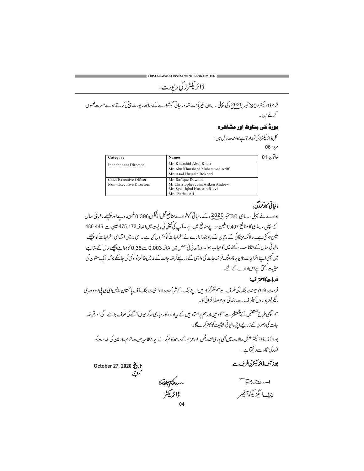<sub>ۋائر</sub>ىكى<sup>ر</sup>زى رې<sub>ي</sub>ر<sub>ى</sub> :

تمام ڈائریکٹرز30 پتمبر 2020ء کی پہلی سہ ماہی غیراُڈٹ شدہ مالیاتی گوشوارے کے ساتھ رپورٹ پیش کرتے ہوئےمسرت محسوں کرتے ہیں۔

# بورڈ کی بناوٹ اور مشاھرہ

كل ڈائريكٹرز كى تعداد 7 ہے جومندرجہ ذیل ہیں:

 $06:$ 

| Category                | <b>Names</b>                      | خاتون 01 |
|-------------------------|-----------------------------------|----------|
| Independent Director    | Mr. Khurshid Abul Khair           |          |
|                         | Mr. Abu Khursheed Muhammad Ariff  |          |
|                         | Mr. Asad Hussain Bokhari          |          |
| Chief Executive Officer | Mr. Rafique Dawood                |          |
| Non-Executive Directors | Mr.Christopher John Aitken Andrew |          |
|                         | Mr. Syed Iqbal Hussain Rizvi      |          |
|                         | $M_{\text{max}}$ Equinot Ali      |          |

# مالياتي كاركردگي:

۔<br>ادارے نے پہلی سہ ماہی 30 ستمبر <u>2020</u>ء کے مالیاتی گوشوارےمنافع قبل ارٹیکس0.396 ملین روپےاور پیچھلے مالیاتی سال کے پہلی سہ ماہی کامنافع 0.407 ملین روپےمنافع میں ہے۔آپ کی تمپنی کی مالیت میںاضافیہ75.173 ملین سے 480.446 ملین ہوگئی ہے۔حالانکہ مہنگائی کے رتحان کے باوجود ادارے نے اخراجات کو کنٹرول کیا ہے ۔اسی مدمیں انتظامی اخراجات کو پچھلے مالیاتی سال کے متانا سب رکھنے میں کامیاب ہوا۔اورآمد نی فی حصص میں اضافہ 0.003 سے 0.36 کاہواہے پچھلےسال کے مقابلے میں کمپنی اپنے اخراجات نان پر فارمنگ قرضہ جات کی واپسی کے ذریعےقرضہ جات کے مدمیں خاطرخواہ کمی کی جاسکے جوکہ ایک ستون کی حیثیت رکھتی ہےاس ادارے کے لئے۔

# خدمات كااعتراف:

فرسٹ داؤدانوسیمنٹ بنک کی طرف سے ہم شکرگز ار ہیںا پنے بنک کے شراکت دار،اسٹیٹ بنک آف پاکستان،ایس ای سی پی اور دوسری ریگولیٹراداروں کیلر ف سے رہنمائی اورحوصلہافزائی کا۔

ہم اچھی طرح مستنقبل کے چیلنجز سےآگاہ ہیں اورہم پراعتاد ہیں کے پیادارہ کاروباری سرگرمیوں آ گے کی طرف بڑھے گی اورقر ضہ جات کی وصولی کے ذیر یعےا <sub>ن</sub>ئی مالیاتی حیثیت کو پہتر کرےگا۔

بورڈا ٓف ڈائر یکٹر مشکل حالات میں بھی بوری محنت مگن اورعزم کے ساتھ کام کرنے پرانتظامیہ سمیت تمام ملاز مین کی خدمت کو قدرکی نگاہ سے دیکھتاہے۔

تاريخ: October 27, 2020 کراچی

بورڈ آف ڈائریکٹر کی طرف سے

سهک<del>ران</del>دها<br>ڈائریکٹر

PaDand جف اگز بکٹوآفیسر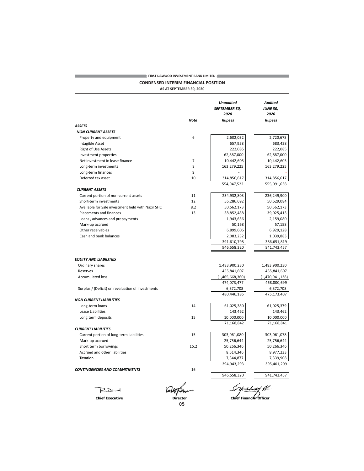# $\rightarrow$  FIRST DAWOOD INVESTMENT BANK LIMITED  $\rightarrow$ **CONDENSED INTERIM FINANCIAL POSITION**

AS AT SEPTEMBER 30, 2020

|                                                   |             | <b>Unaudited</b><br>SEPTEMBER 30,<br>2020 | Audited<br><b>JUNE 30,</b><br>2020 |
|---------------------------------------------------|-------------|-------------------------------------------|------------------------------------|
|                                                   | <b>Note</b> | <b>Rupees</b>                             | <b>Rupees</b>                      |
| ASSETS                                            |             |                                           |                                    |
| <b>NON CURRENT ASSETS</b>                         |             |                                           |                                    |
| Property and equipment                            | 6           | 2,602,032                                 | 2,720,678                          |
| Intagible Asset                                   |             | 657,958                                   | 683,428                            |
| <b>Right of Use Assets</b>                        |             | 222,085                                   | 222,085                            |
| Investment properties                             |             | 62,887,000                                | 62,887,000                         |
| Net investment in lease finance                   | 7           | 10,442,605                                | 10,442,605                         |
| Long-term investments                             | 8           | 163,279,225                               | 163,279,225                        |
| Long-term finances                                | 9           |                                           |                                    |
| Deferred tax asset                                | 10          | 314,856,617                               | 314,856,617                        |
|                                                   |             | 554,947,522                               | 555,091,638                        |
| <b>CURRENT ASSETS</b>                             |             |                                           |                                    |
| Current portion of non-current assets             | 11          | 234,932,803                               | 236,249,900                        |
| Short-term investments                            | 12          | 56,286,692                                | 50,629,084                         |
| Available for Sale investment held with Nazir SHC | 8.2         | 50,562,173                                | 50,562,173                         |
| Placements and finances                           | 13          | 38,852,488                                | 39,025,413                         |
| Loans, advances and prepayments                   |             | 1,943,636                                 | 2,159,080                          |
| Mark-up accrued                                   |             | 50,168                                    | 57,158                             |
| Other receivables                                 |             | 6,899,606                                 | 6,929,128                          |
| Cash and bank balances                            |             | 2,083,232                                 | 1,039,883                          |
|                                                   |             | 391,610,798                               | 386,651,819                        |
|                                                   |             | 946,558,320                               | 941,743,457                        |
| <b>EQUITY AND LIABILITIES</b>                     |             |                                           |                                    |
| Ordinary shares                                   |             | 1,483,900,230                             | 1,483,900,230                      |
| Reserves                                          |             | 455,841,607                               | 455,841,607                        |
| <b>Accumulated loss</b>                           |             | (1,465,668,360)                           | (1,470,941,138)                    |
|                                                   |             | 474,073,477                               | 468,800,699                        |
| Surplus / (Deficit) on revaluation of investments |             | 6,372,708                                 | 6,372,708                          |
|                                                   |             | 480,446,185                               | 475,173,407                        |
| NON CURRENT LIABILITIES                           |             |                                           |                                    |
| Long-term loans                                   | 14          | 61,025,380                                | 61,025,379                         |
| Lease Liabilities                                 |             | 143,462                                   | 143,462                            |
| Long term deposits                                | 15          | 10,000,000                                | 10,000,000                         |
|                                                   |             | 71,168,842                                | 71,168,841                         |
| CURRENT LIABILITIES                               |             |                                           |                                    |
| Current portion of long-term liabilities          | 15          | 303,061,080                               | 303,061,078                        |
| Mark-up accrued                                   |             | 25,756,644                                | 25,756,644                         |
| Short term borrowings                             | 15.2        | 50,266,346                                | 50,266,346                         |
| Accrued and other liabilities                     |             | 8,514,346                                 | 8,977,233                          |
| Taxation                                          |             | 7,344,877                                 | 7,339,908                          |
|                                                   |             | 394,943,293                               | 395,401,209                        |
| CONTINGENCIES AND COMMITMENTS                     | 16          |                                           |                                    |
|                                                   |             | 946,558,320                               | 941,743,457                        |

PaDent **Chief Executive** 

**The Co** 

System Al.

 $\frac{1}{\text{Directory}}$ 05

Chief Financier Officer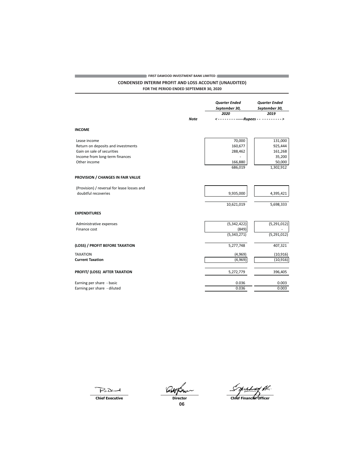## **EXECUTE PRINT DAWOOD INVESTMENT BANK LIMITED**

## **CONDENSED INTERIM PROFIT AND LOSS ACCOUNT (UNAUDITED)** FOR THE PERIOD ENDED SEPTEMBER 30, 2020

**Quarter Ended Quarter Ended** September 30, September 30, 2020 2019 **Note** ------------Rupees . . . . . . . . > **INCOME** Lease income 70,000 131,000 Return on deposits and investments 160,677 925,444 Gain on sale of securities 288,462  $161,268$ 35,200 Income from long-term finances 50,000 Other income 166,880 686,019 1,302,912 PROVISION / CHANGES IN FAIR VALUE (Provision) / reversal for lease losses and doubtful recoveries 9,935,000 4,395,421 10,621,019 5,698,333 **EXPENDITURES** Administrative expenses  $(5,342,422)$  $(5, 291, 012)$ Finance cost  $(849)$  $(5, 343, 271)$  $(5,291,012)$ (LOSS) / PROFIT BEFORE TAXATION 5,277,748 407,321 **TAXATION**  $(4,969)$  $(10, 916)$ **Current Taxation**  $(4,969)$  $(10, 916)$ PROFIT/ (LOSS) AFTER TAXATION 5,272,779 396,405 Earning per share - basic 0.036  $0.003$ Earning per share - diluted  $0.003$ 0.036

PaDent

**Chief Executive** 

**Director** 

Jechty Al. Chief Financial Officer

06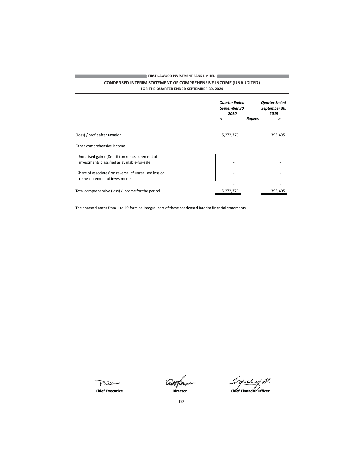# **EXECUTIVE STATE OF PRINT DAWOOD INVESTMENT BANK LIMITED**

# **CONDENSED INTERIM STATEMENT OF COMPREHENSIVE INCOME (UNAUDITED)** FOR THE QUARTER ENDED SEPTEMBER 30, 2020

|                                                                                                 | <b>Quarter Ended</b><br>September 30,<br>2020 | <b>Quarter Ended</b><br>September 30,<br>2019 |
|-------------------------------------------------------------------------------------------------|-----------------------------------------------|-----------------------------------------------|
|                                                                                                 |                                               | <------------------ Rupees --------------->   |
| (Loss) / profit after taxation                                                                  | 5,272,779                                     | 396,405                                       |
| Other comprehensive income                                                                      |                                               |                                               |
| Unrealised gain / (Deficit) on remeasurement of<br>investments classified as available-for-sale |                                               |                                               |
| Share of associates' on reversal of unrealised loss on<br>remeasurement of investments          |                                               |                                               |
| Total comprehensive (loss) / income for the period                                              | 5,272,779                                     | 396,405                                       |

The annexed notes from 1 to 19 form an integral part of these condensed interim financial statements

PaDent **Chief Executive** 

**COL** 

aupun **Director** 

Syushong Al.

m.

 $07$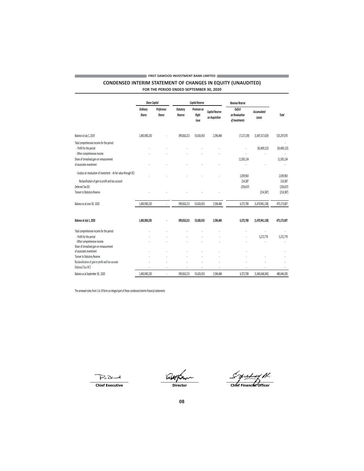# **EXECUTE A FIRST DAWOOD INVESTMENT BANK LIMITED**

**CONDENSED INTERIM STATEMENT OF CHANGES IN EQUITY (UNAUDITED)** FOR THE PERIOD ENDED SEPTEMBER 30, 2020

**Capital Reserve Share Capital Revenue Reserve** Ordinary **Statutory** Premium on Preference Deficit Capital Reserve Accumulated Shares Shares Reserve Right on Revaluation Total on Acquisition Losses Issue  $of$  Investments  $% \left\vert \left( \mathbf{1}_{1},\mathbf{2}_{2},\mathbf{1}_{2}\right) \right\rangle$ Balance at July 1, 2019 1,483,900,230  $\ddot{\phantom{a}}$ 399,818,213 53,426,910 2,596,484  $(7, 127, 139)$  $(1,407,317,629)$ 525,297,070 Total comprehensive income for the period - Profit for the period  $(63, 409, 123)$  $(63, 409, 123)$  $\overline{a}$ l,  $\overline{a}$  $\ddot{\phantom{a}}$ - Other comprehensive income  $\bar{z}$ Share of Unrealised gain on remasurement 11,505,134 11,505,134 of associates investment - Surplus on revaluation of investment - At fair value through OCI  $\overline{a}$ 2,039,963 2,039,963 Reclassification of gain to profit and loss account 214,387 214,387 Deferred Tax-OCI  $(259, 637)$  $(259, 637)$ Transer to Statutory Reserve  $(214, 387)$  $(214, 387)$  $\overline{a}$  $\overline{a}$  $\overline{a}$ 475,173,407 1,483,900,230 399,818,213 53,426,910 2,596,484 6372708 (1 470 941 138) Balance as at June 30, 2020 Balance at July 1, 2020 1,483,900,230 475,173,407 399,818,213 53,426,910 2,596,484 6,372,708  $(1,470,941,138)$  $\cdot$ Total comprehensive income for the period - Profit for the period  $\ddot{\phantom{a}}$ 5,272,779 5,272,779  $\ddot{\phantom{a}}$  $\ddot{\phantom{a}}$  $\bar{z}$  $\ddot{\phantom{a}}$ - Other comprehensive income  $\ddot{\phantom{a}}$  $\ddot{\phantom{a}}$ Share of Unrealised gain on remasurement of associates investment Transer to Statutory Reserve  $\ddot{\phantom{a}}$  $\ddot{\phantom{a}}$  $\ddot{\phantom{a}}$  $\sim$ ÷.  $\cdot$ Reclassification of gain to profit and loss account  $\overline{a}$  $\overline{a}$  $\overline{a}$  $\overline{a}$ Deferred Tax-OCI Balance as at September 30, 2020 1,483,900,230 399,818,213 53,426,910 2,596,484 6,372,708  $(1,465,668,360)$ 480,446,185

The annexed notes from 1 to 19 form an integral part of these condensed interim financial statements

PaDent

**Chief Executive** 

**Director** 

<u>yish</u> ref fil. Chief Financial Officer

m.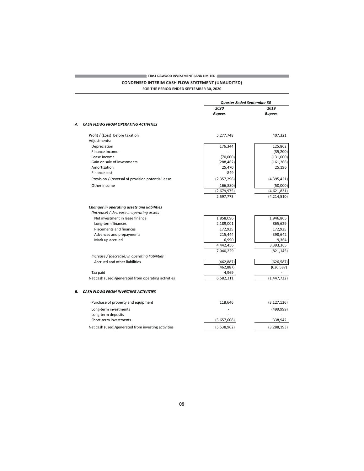# $\blacktriangleright$  FIRST DAWOOD INVESTMENT BANK LIMITED  $\blacklozenge$

the control of the control of the control of

# **CONDENSED INTERIM CASH FLOW STATEMENT (UNAUDITED)**

and the control of the control of the

FOR THE PERIOD ENDED SEPTEMBER 30, 2020

|    |                                                     | Quarter Ended September 30 |               |
|----|-----------------------------------------------------|----------------------------|---------------|
|    |                                                     | 2020                       | 2019          |
|    |                                                     | <b>Rupees</b>              | <b>Rupees</b> |
| А. | <b>CASH FLOWS FROM OPERATING ACTIVITIES</b>         |                            |               |
|    | Profit / (Loss) before taxation<br>Adjustments:     | 5,277,748                  | 407,321       |
|    | Depreciation                                        | 176,344                    | 125,862       |
|    | Finance Income                                      |                            | (35, 200)     |
|    | Lease Income                                        | (70,000)                   | (131,000)     |
|    | Gain on sale of investments                         | (288, 462)                 | (161, 268)    |
|    | Amortization                                        | 25,470                     | 25,196        |
|    | Finance cost                                        | 849                        |               |
|    | Provision / (reversal of provision potential lease  | (2,357,296)                | (4,395,421)   |
|    | Other income                                        | (166, 880)                 | (50,000)      |
|    |                                                     | (2,679,975)                | (4,621,831)   |
|    |                                                     | 2,597,773                  | (4, 214, 510) |
|    | Changes in operating assets and liabilities         |                            |               |
|    | (Increase) / decrease in operating assets           |                            |               |
|    | Net investment in lease finance                     | 1,858,096                  | 1,946,805     |
|    | Long-term finances                                  | 2,189,001                  | 865,629       |
|    | <b>Placements and finances</b>                      | 172,925                    | 172,925       |
|    | Advances and prepayments                            | 215,444                    | 398,642       |
|    | Mark up accrued                                     | 6,990                      | 9,364         |
|    |                                                     | 4,442,456                  | 3,393,365     |
|    |                                                     | 7,040,229                  | (821, 145)    |
|    | Increase / (decrease) in operating liabilities      |                            |               |
|    | Accrued and other liabilities                       | (462, 887)                 | (626, 587)    |
|    |                                                     | (462, 887)                 | (626, 587)    |
|    | Tax paid                                            | 4,969                      |               |
|    | Net cash (used)/generated from operating activities | 6,582,311                  | (1, 447, 732) |
| В. | <b>CASH FLOWS FROM INVESTING ACTIVITIES</b>         |                            |               |
|    | Purchase of property and equipment                  | 118,646                    | (3, 127, 136) |
|    | Long-term investments                               |                            | (499, 999)    |
|    | Long-term deposits                                  |                            |               |
|    | Short-term investments                              | (5,657,608)                | 338,942       |
|    | Net cash (used)/generated from investing activities | (5,538,962)                | (3, 288, 193) |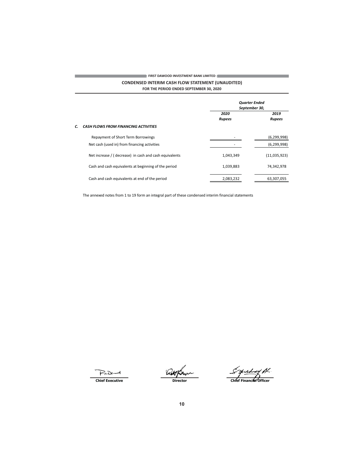# **EXECUTE:** FIRST DAWOOD INVESTMENT BANK LIMITED  $\leftarrow$ **CONDENSED INTERIM CASH FLOW STATEMENT (UNAUDITED)**

FOR THE PERIOD ENDED SEPTEMBER 30, 2020

|                                                        |           | <b>Quarter Ended</b><br>September 30, |  |  |
|--------------------------------------------------------|-----------|---------------------------------------|--|--|
| 2020<br><b>Rupees</b>                                  |           | 2019<br><b>Rupees</b>                 |  |  |
| <b>CASH FLOWS FROM FINANCING ACTIVITIES</b>            |           |                                       |  |  |
| Repayment of Short Term Borrowings                     |           | (6, 299, 998)                         |  |  |
| Net cash (used in) from financing activities           |           | (6, 299, 998)                         |  |  |
| Net increase / (decrease) in cash and cash equivalents | 1,043,349 | (11,035,923)                          |  |  |
| Cash and cash equivalents at beginning of the period   | 1,039,883 | 74,342,978                            |  |  |
| Cash and cash equivalents at end of the period         | 2,083,232 | 63,307,055                            |  |  |

The annexed notes from 1 to 19 form an integral part of these condensed interim financial statements

Pain **Chief Executive** 

**Contract Contract** 

aupu Director

Syushong Al.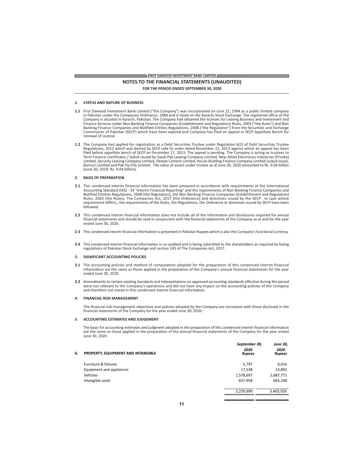# FIRST DAWOOD INVESTMENT BANK LIMITED NOTES TO THE FINANCIAL STATEMENTS (UNAUDITED)

FOR THE PERIOD ENDED SEPTEMBER 30, 2020

#### 1. STATUS AND NATURE OF BUSINESS

- 1.1 First Dawood Investment Bank Limited ("the Company") was incorporated on June 22, 1994 as a public limited company in Pakistan under the Companies Ordinance, 1984 and is listed on the Karachi Stock Exchange. The registered office of the Company is situated in Karachi, Pakistan. The Company had obtained the licenses for Leasing Business and Investment and Finance Services under Non Banking Finance Companies (Establishment and Regulation) Rules, 2003 ("the Rules") and Non Banking Finance Companies and Notified Entities Regulations, 2008 ("the Regulation") from the Securities and Exchange<br>Commission of Pakistan (SECP) which have been expired and Company has filed an appeal in SECP Appellate renewal of License.
- 1.2 The Company had applied for registration as a Debt Securities Trustee under Regulation 6(2) of Debt Securities Trustee Regulations, 2012 which was denied by SECP vide its order dated November 22, 2013 against which an appeal has been<br>filed before appellate bench of SECP on December 17, 2013. The appeal is pending. The Company is acting as Limited, Security Leasing Company Limited, Dewan Cement Limited, House Building Finance Company Limited (sukuk issue), Bunny's Limited and Pak Hy-Oils Limited. The value of assets under trustee as at June 30, 2020 amounted to Rs. 9.04 billion (June 30, 2019: Rs. 9.04 billion).

## 2. BASIS OF PREPARATION

- 2.1 This condensed interim financial information has been prepared in accordance with requirements of the International Accounting Standard (IAS) - 34 "Interim Financial Reporting" and the requirements of Non Banking Finance Companies and Notified Entities Regulations, 2008 (the Regulation), the Non Banking Finance Companies (Establishment and Regulation)<br>Rules, 2003 (the Rules), The Companies Act, 2017 (the Ordinance) and directives issued by the SECP. In requirement differs,, the requirements of the Rules, the Regulations, the Ordinance or directives issued by SECP have been followed
- 2.2 This condensed interim financial information does not include all of the information and disclosures required for annual financial statements and should be read in conjunction with the financial statements of the Company as at and for the year ended June 30, 2020.
- 2.3 This condensed interim financial information is presented in Pakistan Rupees which is also the Company's functional currency.
- 2.4 This condensed interim financial information is un-audited and is being submitted to the shareholders as required by listing regulations of Pakistan Stock Exchange and section 245 of The Companies Act, 2017.

#### SIGNIFICANT ACCOUNTING POLICIES  $\overline{3}$ .

- 3.1 The accounting policies and method of computation adopted for the preparation of this condensed interim financial information are the same as those applied in the preparation of the Company's annual financial statements for the year ended June 30, 2020.
- 3.2 Amendments to certain existing standards and interpretations on approved accounting standards effective during the period<br>were not relevant to the Company's operations and did not have any impact on the accounting poli and therefore not stated in this condensed interim financial information.

#### **FINANCIAL RISK MANAGEMENT** 4.

The financial risk management objectives and policies adopted by the Company are consistent with those disclosed in the financial statements of the Company for the year ended June 30, 2020.

### 5. ACCOUNTING ESTIMATES AND JUDGEMENT

The basis for accounting estimates and judgment adopted in the preparation of this condensed interim financial information<br>are the same as those applied in the preparation of the annual financial statements of the Company June 30, 2020.

| 6. | PROPERTY, EQUIPMENT AND INTANGIBLE | September 30,<br>2020<br><b>Rupees</b> | <b>June 30,</b><br>2020<br><b>Rupees</b> |
|----|------------------------------------|----------------------------------------|------------------------------------------|
|    | Furniture & fixtures               | 5.797                                  | 9,016                                    |
|    | Equipment and appliances           | 17,538                                 | 23,891                                   |
|    | Vehicles                           | 2,578,697                              | 2,687,771                                |
|    | Intangible asset                   | 657,958                                | 683,248                                  |
|    |                                    | 3,259,990                              | 3,403,926                                |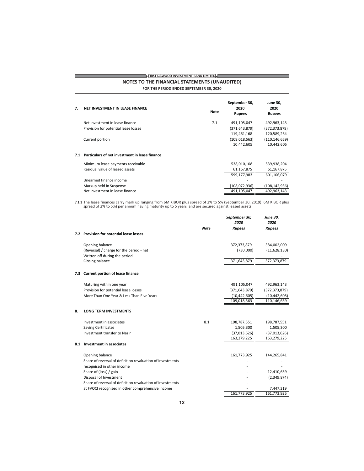# $\overrightarrow{F}$  FIRST DAWOOD INVESTMENT BANK LIMITED  $\overleftarrow{S}$ NOTES TO THE FINANCIAL STATEMENTS (UNAUDITED)

**Contract Contract Contract** 

FOR THE PERIOD ENDED SEPTEMBER 30, 2020

<u> 1989 - Johann Barnett, mars et al. 1989 - Anna ann an t-Anna ann an t-Anna ann an t-Anna ann an t-Anna ann an</u>

| 7.  | NET INVESTMENT IN LEASE FINANCE                | Note | September 30,<br>2020<br><b>Rupees</b> | <b>June 30,</b><br>2020<br><b>Rupees</b> |
|-----|------------------------------------------------|------|----------------------------------------|------------------------------------------|
|     | Net investment in lease finance                | 7.1  | 491,105,047                            | 492,963,143                              |
|     | Provision for potential lease losses           |      | (371, 643, 879)                        | (372, 373, 879)                          |
|     |                                                |      | 119,461,168                            | 120,589,264                              |
|     | Current portion                                |      | (109,018,563)                          | (110, 146, 659)                          |
|     |                                                |      | 10,442,605                             | 10,442,605                               |
| 7.1 | Particulars of net investment in lease finance |      |                                        |                                          |
|     | Minimum lease payments receivable              |      | 538,010,108                            | 539,938,204                              |
|     | Residual value of leased assets                |      | 61,167,875                             | 61,167,875                               |
|     |                                                |      | 599,177,983                            | 601,106,079                              |
|     | Unearned finance income                        |      |                                        |                                          |
|     | Markup held in Suspense                        |      | (108,072,936)                          | (108,142,936)                            |
|     | Net investment in lease finance                |      | 491,105,047                            | 492,963,143                              |

7.1.1 The lease finances carry mark up ranging from 6M KIBOR plus spread of 2% to 5% (September 30, 2019): 6M KIBOR plus spread of 2% to 5%) per annum having maturity up to 5 years and are secured against leased assets.

|     |                                                            | <b>Note</b> | September 30,<br>2020<br><b>Rupees</b> | <b>June 30,</b><br>2020<br><b>Rupees</b> |
|-----|------------------------------------------------------------|-------------|----------------------------------------|------------------------------------------|
|     | 7.2 Provision for potential lease losses                   |             |                                        |                                          |
|     | Opening balance                                            |             | 372,373,879                            | 384,002,009                              |
|     | (Reversal) / charge for the period - net                   |             | (730,000)                              | (11,628,130)                             |
|     | Written off during the period                              |             |                                        |                                          |
|     | Closing balance                                            |             | 371,643,879                            | 372,373,879                              |
| 7.3 | <b>Current portion of lease finance</b>                    |             |                                        |                                          |
|     | Maturing within one year                                   |             | 491,105,047                            | 492,963,143                              |
|     | Provision for potential lease losses                       |             | (371, 643, 879)                        | (372, 373, 879)                          |
|     | More Than One Year & Less Than Five Years                  |             | (10, 442, 605)                         | (10, 442, 605)                           |
|     |                                                            |             | 109,018,563                            | 110,146,659                              |
| 8.  | <b>LONG TERM INVESTMENTS</b>                               |             |                                        |                                          |
|     | Investment in associates                                   | 8.1         | 198,787,551                            | 198,787,551                              |
|     | <b>Saving Certificates</b>                                 |             | 1,505,300                              | 1,505,300                                |
|     | Investment transfer to Nazir                               |             | (37,013,626)                           | (37,013,626)                             |
|     |                                                            |             | 163,279,225                            | 163,279,225                              |
| 8.1 | <b>Investment in associates</b>                            |             |                                        |                                          |
|     | Opening balance                                            |             | 161,773,925                            | 144,265,841                              |
|     | Share of reversal of deficit on revaluation of investments |             |                                        |                                          |
|     | recognised in other income                                 |             |                                        |                                          |
|     | Share of (loss) / gain                                     |             |                                        | 12,410,639                               |
|     | Disposal of Investment                                     |             |                                        | (2,349,874)                              |
|     | Share of reversal of deficit on revaluation of investments |             |                                        |                                          |
|     | at FVOCI recognised in other comprehensive income          |             | 161,773,925                            | 7,447,319                                |
|     |                                                            |             |                                        | 161,773,925                              |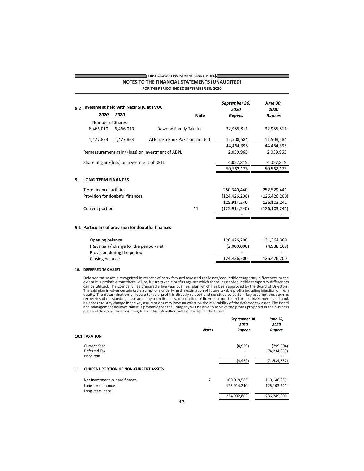|    | <b>NOTES TO THE FINANCIAL STATEMENTS (UNAUDITED)</b><br>FOR THE PERIOD ENDED SEPTEMBER 30, 2020 |                                                    |                                                  |                         |                 |                 |
|----|-------------------------------------------------------------------------------------------------|----------------------------------------------------|--------------------------------------------------|-------------------------|-----------------|-----------------|
| 82 | Investment held with Nazir SHC at FVOCI                                                         |                                                    | September 30,<br>2020                            | <b>June 30,</b><br>2020 |                 |                 |
|    | 2020                                                                                            | 2020                                               |                                                  | <b>Note</b>             | <b>Rupees</b>   | <b>Rupees</b>   |
|    | Number of Shares                                                                                |                                                    |                                                  |                         |                 |                 |
|    | 6,466,010                                                                                       | 6,466,010                                          | Dawood Family Takaful                            |                         | 32,955,811      | 32,955,811      |
|    | 1,477,823                                                                                       | 1,477,823                                          | Al Baraka Bank Pakistan Limited                  |                         | 11,508,584      | 11,508,584      |
|    |                                                                                                 |                                                    |                                                  |                         | 44,464,395      | 44,464,395      |
|    |                                                                                                 |                                                    | Remeasurement gain/ (loss) on investment of ABPL |                         | 2,039,963       | 2,039,963       |
|    |                                                                                                 | Share of gain/(loss) on investment of DFTL         |                                                  |                         | 4,057,815       | 4,057,815       |
|    |                                                                                                 |                                                    |                                                  |                         | 50,562,173      | 50,562,173      |
| 9. | <b>LONG-TERM FINANCES</b>                                                                       |                                                    |                                                  |                         |                 |                 |
|    | Term finance facilities                                                                         |                                                    |                                                  |                         | 250,340,440     | 252,529,441     |
|    |                                                                                                 | Provision for doubtful finances                    |                                                  |                         | (124, 426, 200) | (126, 426, 200) |
|    |                                                                                                 |                                                    |                                                  |                         | 125,914,240     | 126,103,241     |
|    | Current portion                                                                                 |                                                    |                                                  | 11                      | (125, 914, 240) | (126, 103, 241) |
|    |                                                                                                 |                                                    |                                                  |                         |                 |                 |
|    |                                                                                                 | 9.1 Particulars of provision for doubtful finances |                                                  |                         |                 |                 |
|    | Opening balance                                                                                 |                                                    |                                                  |                         | 126,426,200     | 131,364,369     |
|    |                                                                                                 | (Reversal) / charge for the period - net           |                                                  |                         | (2,000,000)     | (4,938,169)     |
|    |                                                                                                 | Provision during the period                        |                                                  |                         |                 |                 |
|    | Closing balance                                                                                 |                                                    |                                                  |                         | 124,426,200     | 126,426,200     |

**EIRST DAWOOD INVESTMENT BANK LIMITED** 

## 10. DEFERRED TAX ASSET

Deferred tax asset is recognized in respect of carry forward assessed tax losses/deductible temporary differences to the Deterted tax asset is recognized in respect of carry forward assessed tax losses) deductible temporary differences<br>extent it is probable that there will be future taxable profits against which these losses/deductible tempo and management believes that it is probable that the Company will be able to achieve the profits projected in the business<br>plan and deferred tax amounting to Rs. 314.856 million will be realised in the future.

|                                                                          | <b>Notes</b> | September 30,<br>2020<br><b>Rupees</b>    | <b>June 30,</b><br>2020<br><b>Rupees</b>  |
|--------------------------------------------------------------------------|--------------|-------------------------------------------|-------------------------------------------|
| <b>10.1 TAXATION</b>                                                     |              |                                           |                                           |
| Current Year<br>Deferred Tax                                             |              | (4,969)                                   | (299, 904)<br>(74, 234, 933)              |
| Prior Year                                                               |              | (4.969)                                   | (74.534.837)                              |
| <b>CURRENT PORTION OF NON-CURRENT ASSETS</b><br>11.                      |              |                                           |                                           |
| Net investment in lease finance<br>Long-term finances<br>Long-term loans | 7            | 109,018,563<br>125,914,240<br>234,932,803 | 110,146,659<br>126,103,241<br>236,249,900 |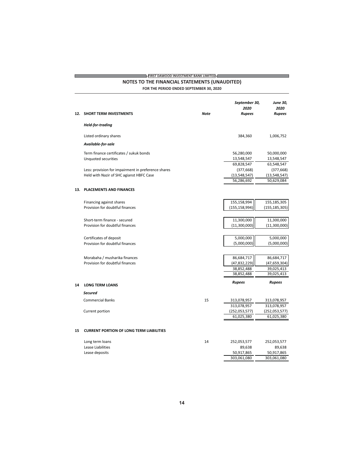# $\overline{\mathcal{L}}$  FIRST DAWOOD INVESTMENT BANK LIMITED  $\overline{\mathcal{L}}$ NOTES TO THE FINANCIAL STATEMENTS (UNAUDITED)

the control of the control of the control of

FOR THE PERIOD ENDED SEPTEMBER 30, 2020

<u> Tanzania (h. 1888).</u>

|    | 12. SHORT TERM INVESTMENTS                          | <b>Note</b> | September 30,<br>2020<br><b>Rupees</b> | <b>June 30,</b><br>2020<br><b>Rupees</b> |
|----|-----------------------------------------------------|-------------|----------------------------------------|------------------------------------------|
|    | <b>Held-for-trading</b>                             |             |                                        |                                          |
|    | Listed ordinary shares                              |             | 384,360                                | 1,006,752                                |
|    | Available-for-sale                                  |             |                                        |                                          |
|    | Term finance certificates / sukuk bonds             |             | 56,280,000                             | 50,000,000                               |
|    | <b>Unquoted securities</b>                          |             | 13,548,547                             | 13,548,547                               |
|    |                                                     |             | 69,828,547                             | 63,548,547                               |
|    | Less: provision for impairment in preference shares |             | (377, 668)                             | (377, 668)                               |
|    | Held with Nazir of SHC agianst HBFC Case            |             | (13,548,547)                           | (13,548,547)                             |
|    |                                                     |             | 56,286,692                             | 50,629,084                               |
|    | 13. PLACEMENTS AND FINANCES                         |             |                                        |                                          |
|    | Financing against shares                            |             | 155,158,994                            | 155,185,305                              |
|    | Provision for doubtful finances                     |             | (155, 158, 994)                        | (155, 185, 305)                          |
|    | Short-term finance - secured                        |             | 11,300,000                             | 11,300,000                               |
|    | Provision for doubtful finances                     |             | (11,300,000)                           | (11,300,000)                             |
|    | Certificates of deposit                             |             | 5,000,000                              | 5,000,000                                |
|    | Provision for doubtful finances                     |             | (5,000,000)                            | (5,000,000)                              |
|    |                                                     |             |                                        |                                          |
|    | Morabaha / musharika finances                       |             | 86,684,717                             | 86,684,717                               |
|    | Provision for doubtful finances                     |             | (47, 832, 229)                         | (47, 659, 304)                           |
|    |                                                     |             | 38,852,488                             | 39,025,413                               |
|    |                                                     |             | 38,852,488                             | 39,025,413                               |
| 14 | <b>LONG TERM LOANS</b>                              |             | <b>Rupees</b>                          | Rupees                                   |
|    | <b>Secured</b>                                      |             |                                        |                                          |
|    | <b>Commercial Banks</b>                             | 15          | 313,078,957                            | 313,078,957                              |
|    |                                                     |             | 313,078,957                            | 313,078,957                              |
|    | Current portion                                     |             | (252, 053, 577)                        | (252,053,577)                            |
|    |                                                     |             | 61,025,380                             | 61,025,380                               |
| 15 | <b>CURRENT PORTION OF LONG TERM LIABILITIES</b>     |             |                                        |                                          |
|    | Long term loans                                     | 14          | 252,053,577                            | 252,053,577                              |
|    | Lease Liabilities                                   |             | 89,638                                 | 89,638                                   |
|    | Lease deposits                                      |             | 50,917,865                             | 50,917,865                               |
|    |                                                     |             | 303,061,080                            | 303,061,080                              |
|    |                                                     |             |                                        |                                          |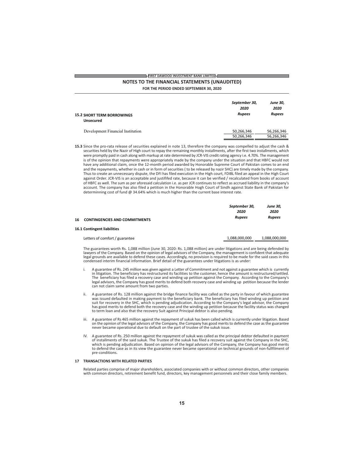## FIRST DAWOOD INVESTMENT BANK LIMITED

## NOTES TO THE FINANCIAL STATEMENTS (UNAUDITED)

FOR THE PERIOD ENDED SEPTEMBER 30, 2020

|                                                       | September 30,<br>2020 | <b>June 30,</b><br>2020 |  |
|-------------------------------------------------------|-----------------------|-------------------------|--|
| <b>15.2 SHORT TERM BORROWINGS</b><br><b>Unsecured</b> | <b>Rupees</b>         | <b>Rupees</b>           |  |
| Development Financial Institution                     | 50,266,346            | 56,266,346              |  |
|                                                       | 50,266,346            | 56.266.346              |  |

15.3 Since the pro-rata release of securities explained in note 13, therefore the company was compelled to adjust the cash & securities held by the Nazir of High court to repay the remaining monthly installments, after the first two installments, which were promptly paid in cash along with markup at rate determined by JCR-VIS credit rating agency i.e. 4.70%. The management is of the opinion that repayments were appropriately made by the company under the situation and that HBFC would not have any additional claim, once the 12-month period awarded by Honorable Supreme Court of Pakistan comes to an end and the repayments, whether in cash or in form of securities ( to be released by nazir SHC) are timely made by the company. Thus to create an unnecessary dispute, the DFI has filed execution in the High court, FDIBL filed an appeal in the High Court against Order. JCR-VIS is an acceptable and justififed rate, because it can be verified / recalculated from books of account of HBFC as well. The sum as per aforesaid calculation i.e. as per JCR continues to reflect as accrued liability in the company's account. The company has also filed a petition in the Honorable Hogh Court of Sindh against State Bank of Pakistan for determinning cost of fund @ 34.64% which is much higher than the current base interest rate.

|    |                                      | September 30, |               |
|----|--------------------------------------|---------------|---------------|
|    |                                      | 2020          | 2020          |
| 16 | <b>CONTINGENCIES AND COMMITMENTS</b> | <b>Rupees</b> |               |
|    | 16.1 Contingent liabilities          |               |               |
|    | Letters of comfort / guarantee       | 1,088,000,000 | 1,088,000,000 |

The guarantees worth Rs. 1,088 million (June 30, 2020: Rs. 1,088 million) are under litigations and are being defended by lawyers of the Company. Based on the opinion of legal advisors of the Company, the management is confident that adequate legal grounds are available to defend these cases. Accordingly, no provision is required to be made for the said cases in this condensed interim financial information. Brief detail of the guarantees under litigations is as

- A guarantee of Rs. 245 million was given against a Letter of Commitment and not against a guarantee which is currently<br>in litigation. The beneficiary has restructured its facilities to the customer, hence the amount is res The beneficiary has filed a recovery case and winding up petition against the Company. According to the Company's legal advisors, the Company has good merits to defend both recovery case and winding up petition because the lender<br>can not claim same amount from two parties.
- A guarantee of Rs. 128 million against the bridge finance facility was called as the party in favour of which guarantee<br>was issued defaulted in making payment to the beneficiary bank. The beneficiary has filed winding up p ii. suit for recovery in the SHC, which is pending adjudication. According to the Company's legal advisor, the Company has good merits to defend both the recovery case and the winding up petition because the facility status was changed<br>to term loan and also that the recovery Suit against Principal debtor is also pending.
- iii. A guarantee of Rs 465 million against the repayment of sukuk has been called which is currently under litigation. Based<br>on the opinion of the legal advisors of the Company, the Company has good merits to defend the ca never became operational due to default on the part of trustee of the sukuk issue.
- A guarantee of Rs. 250 million against the repayment of sukuk was called as the principal debtor defaulted in payment of installments of the said sukuk. The Trustee of the sukuk has filed a recovery suit against the Company in the SHC, which is pending adjudication. Based on opinion of the legal advisors of the Company, the Company has go to defend the case as in its view the guarantee never became operational on technical grounds of non-fullfilment of pre-conditions.

### 17 TRANSACTIONS WITH RELATED PARTIES

Related parties comprise of major shareholders, associated companies with or without common directors, other companies with common directors, retirement benefit fund, directors, key management personnels and their close family members.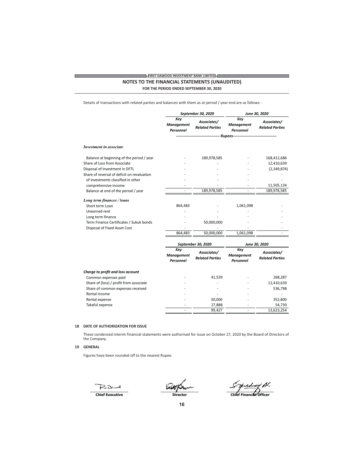# **EIRST DAWOOD INVESTMENT BANK LIMITED** NOTES TO THE FINANCIAL STATEMENTS (UNAUDITED)

FOR THE PERIOD ENDED SEPTEMBER 30, 2020

Details of transactions with related parties and balances with them as at period / year-end are as follows: -

|                                             | September 30, 2020                    |                                       | June 30, 2020                         |                                       |
|---------------------------------------------|---------------------------------------|---------------------------------------|---------------------------------------|---------------------------------------|
|                                             | Key<br><b>Management</b><br>Personnel | Associates/<br><b>Related Parties</b> | Key<br><b>Management</b><br>Personnel | Associates/<br><b>Related Parties</b> |
|                                             |                                       |                                       |                                       |                                       |
| <b>Investment in associate</b>              |                                       |                                       |                                       |                                       |
| Balance at beginning of the period / year   |                                       | 189,978,585                           |                                       | 168,412,686                           |
| Share of Loss from Associate                |                                       |                                       |                                       | 12,410,639                            |
| Disposal of Investment in DFTL              |                                       |                                       |                                       | (2,349,874)                           |
| Share of reversal of deficit on revaluation |                                       |                                       |                                       |                                       |
| of investments classified in other          |                                       |                                       |                                       |                                       |
| comprehensive income                        |                                       |                                       |                                       | 11,505,134                            |
| Balance at end of the period / year         | $\overline{a}$                        | 189,978,585                           |                                       | 189,978,585                           |
| Long term finances / loans                  |                                       |                                       |                                       |                                       |
| Short term Loan                             | 864,483                               |                                       | 1,061,098                             |                                       |
| Unearned rent                               |                                       |                                       |                                       |                                       |
| Long term finance                           |                                       |                                       |                                       |                                       |
| Term Finance Certificates / Sukuk bonds     |                                       | 50,000,000                            |                                       |                                       |
| Disposal of Fixed Asset Cost                |                                       |                                       |                                       |                                       |
|                                             | 864,483                               | 50,000,000                            | 1,061,098                             |                                       |
|                                             |                                       | September 30, 2020                    |                                       | June 30, 2020                         |
|                                             | Key<br><b>Management</b><br>Personnel | Associates/<br><b>Related Parties</b> | Key<br><b>Management</b><br>Personnel | Associates/<br><b>Related Parties</b> |
| Charge to profit and loss account           |                                       |                                       |                                       |                                       |
| Common expenses paid                        |                                       | 41,539                                |                                       | 268,287                               |
| Share of (loss) / profit from associate     |                                       |                                       |                                       | 12,410,639                            |
| Share of common expenses received           |                                       |                                       |                                       | 536,798                               |
| Rental income                               |                                       |                                       |                                       |                                       |
| Rental expense                              |                                       | 30,000                                |                                       | 352,800                               |
| Takaful expense                             |                                       | 27,888                                |                                       | 54,730                                |
|                                             |                                       | 99,427                                | $\overline{a}$                        | 13,623,254                            |

# 18 DATE OF AUTHORIZATION FOR ISSUE

These condensed interim financial statements were authorised for issue on October 27, 2020 by the Board of Directors of the Company.

## 19 GENERAL

Figures have been rounded off to the nearest Rupee.

PaDent

Chief Executive

Director

Sylush 44 Al.<br>Chlef Financter Officer

16